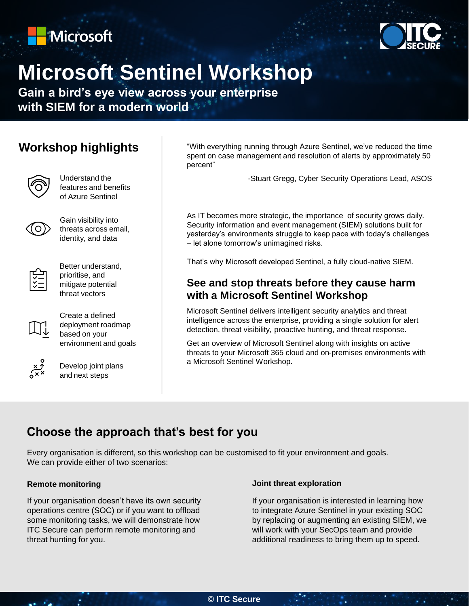



# **Microsoft Sentinel Workshop**

**Gain a bird's eye view across your enterprise with SIEM for a modern world**

### **Workshop highlights**



Understand the features and benefits of Azure Sentinel



Gain visibility into threats across email, identity, and data



Better understand, prioritise, and mitigate potential threat vectors



Create a defined deployment roadmap based on your environment and goals



Develop joint plans and next steps

"With everything running through Azure Sentinel, we've reduced the time spent on case management and resolution of alerts by approximately 50 percent"

-Stuart Gregg, Cyber Security Operations Lead, ASOS

As IT becomes more strategic, the importance of security grows daily. Security information and event management (SIEM) solutions built for yesterday's environments struggle to keep pace with today's challenges – let alone tomorrow's unimagined risks.

That's why Microsoft developed Sentinel, a fully cloud-native SIEM.

### **See and stop threats before they cause harm with a Microsoft Sentinel Workshop**

Microsoft Sentinel delivers intelligent security analytics and threat intelligence across the enterprise, providing a single solution for alert detection, threat visibility, proactive hunting, and threat response.

Get an overview of Microsoft Sentinel along with insights on active threats to your Microsoft 365 cloud and on-premises environments with a Microsoft Sentinel Workshop.

## **Choose the approach that's best for you**

Every organisation is different, so this workshop can be customised to fit your environment and goals. We can provide either of two scenarios:

#### **Remote monitoring**

۰.

If your organisation doesn't have its own security operations centre (SOC) or if you want to offload some monitoring tasks, we will demonstrate how ITC Secure can perform remote monitoring and threat hunting for you.

#### **Joint threat exploration**

If your organisation is interested in learning how to integrate Azure Sentinel in your existing SOC by replacing or augmenting an existing SIEM, we will work with your SecOps team and provide additional readiness to bring them up to speed.